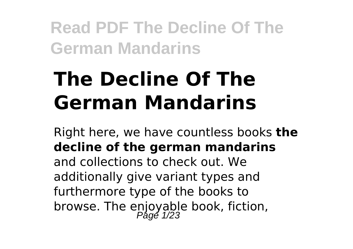# **The Decline Of The German Mandarins**

Right here, we have countless books **the decline of the german mandarins** and collections to check out. We additionally give variant types and furthermore type of the books to browse. The enjoyable book, fiction,<br>Page 1/23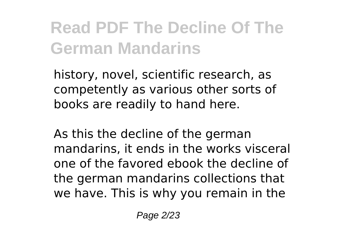history, novel, scientific research, as competently as various other sorts of books are readily to hand here.

As this the decline of the german mandarins, it ends in the works visceral one of the favored ebook the decline of the german mandarins collections that we have. This is why you remain in the

Page 2/23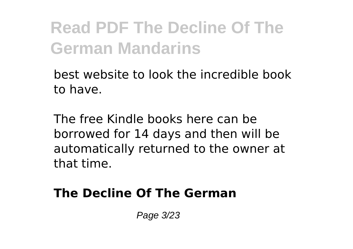best website to look the incredible book to have.

The free Kindle books here can be borrowed for 14 days and then will be automatically returned to the owner at that time.

### **The Decline Of The German**

Page 3/23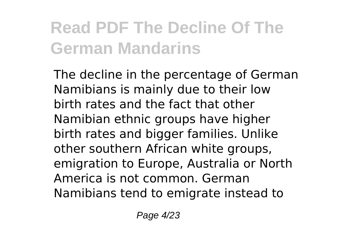The decline in the percentage of German Namibians is mainly due to their low birth rates and the fact that other Namibian ethnic groups have higher birth rates and bigger families. Unlike other southern African white groups, emigration to Europe, Australia or North America is not common. German Namibians tend to emigrate instead to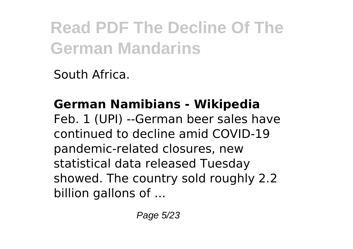South Africa.

# **German Namibians - Wikipedia**

Feb. 1 (UPI) --German beer sales have continued to decline amid COVID-19 pandemic-related closures, new statistical data released Tuesday showed. The country sold roughly 2.2 billion gallons of ...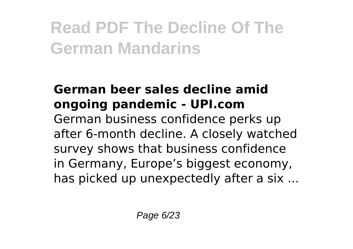### **German beer sales decline amid ongoing pandemic - UPI.com** German business confidence perks up after 6-month decline. A closely watched survey shows that business confidence in Germany, Europe's biggest economy, has picked up unexpectedly after a six ...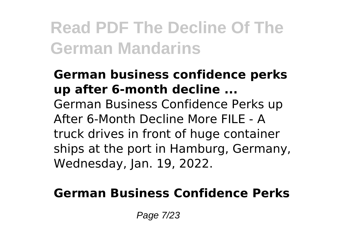### **German business confidence perks up after 6-month decline ...** German Business Confidence Perks up After 6-Month Decline More FILE - A truck drives in front of huge container ships at the port in Hamburg, Germany, Wednesday, Jan. 19, 2022.

### **German Business Confidence Perks**

Page 7/23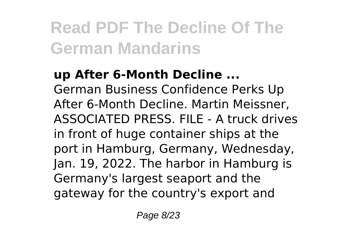**up After 6-Month Decline ...** German Business Confidence Perks Up After 6-Month Decline. Martin Meissner, ASSOCIATED PRESS. FILE - A truck drives in front of huge container ships at the port in Hamburg, Germany, Wednesday, Jan. 19, 2022. The harbor in Hamburg is Germany's largest seaport and the gateway for the country's export and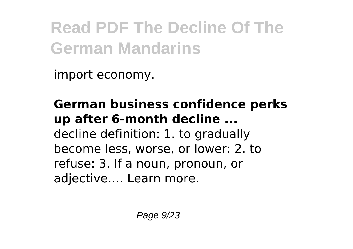import economy.

**German business confidence perks up after 6-month decline ...** decline definition: 1. to gradually become less, worse, or lower: 2. to refuse: 3. If a noun, pronoun, or adjective…. Learn more.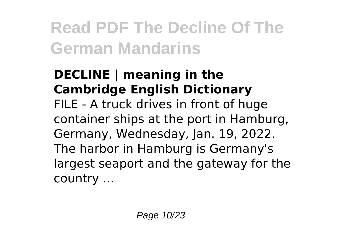### **DECLINE | meaning in the Cambridge English Dictionary**

FILE - A truck drives in front of huge container ships at the port in Hamburg, Germany, Wednesday, Jan. 19, 2022. The harbor in Hamburg is Germany's largest seaport and the gateway for the country ...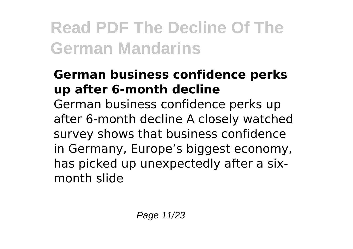### **German business confidence perks up after 6-month decline**

German business confidence perks up after 6-month decline A closely watched survey shows that business confidence in Germany, Europe's biggest economy, has picked up unexpectedly after a sixmonth slide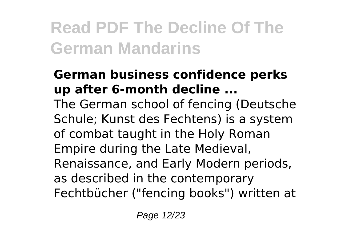### **German business confidence perks up after 6-month decline ...**

The German school of fencing (Deutsche Schule; Kunst des Fechtens) is a system of combat taught in the Holy Roman Empire during the Late Medieval, Renaissance, and Early Modern periods, as described in the contemporary Fechtbücher ("fencing books") written at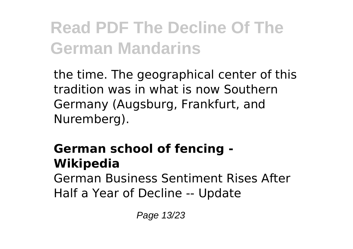the time. The geographical center of this tradition was in what is now Southern Germany (Augsburg, Frankfurt, and Nuremberg).

### **German school of fencing - Wikipedia**

German Business Sentiment Rises After Half a Year of Decline -- Update

Page 13/23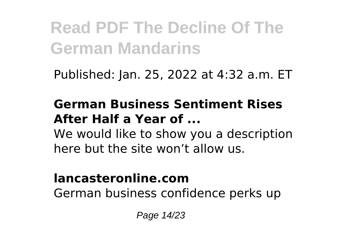Published: Jan. 25, 2022 at 4:32 a.m. ET

### **German Business Sentiment Rises After Half a Year of ...**

We would like to show you a description here but the site won't allow us.

#### **lancasteronline.com**

German business confidence perks up

Page 14/23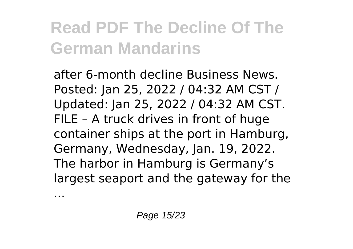after 6-month decline Business News. Posted: Jan 25, 2022 / 04:32 AM CST / Updated: Jan 25, 2022 / 04:32 AM CST. FILE – A truck drives in front of huge container ships at the port in Hamburg, Germany, Wednesday, Jan. 19, 2022. The harbor in Hamburg is Germany's largest seaport and the gateway for the

...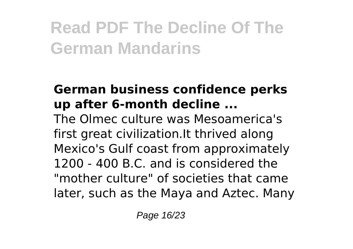### **German business confidence perks up after 6-month decline ...**

The Olmec culture was Mesoamerica's first great civilization.It thrived along Mexico's Gulf coast from approximately 1200 - 400 B.C. and is considered the "mother culture" of societies that came later, such as the Maya and Aztec. Many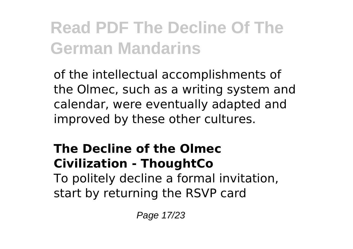of the intellectual accomplishments of the Olmec, such as a writing system and calendar, were eventually adapted and improved by these other cultures.

### **The Decline of the Olmec Civilization - ThoughtCo** To politely decline a formal invitation, start by returning the RSVP card

Page 17/23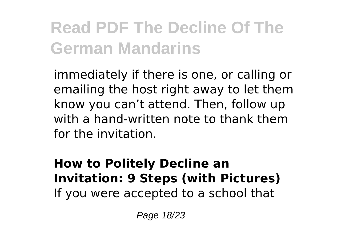immediately if there is one, or calling or emailing the host right away to let them know you can't attend. Then, follow up with a hand-written note to thank them for the invitation.

### **How to Politely Decline an Invitation: 9 Steps (with Pictures)** If you were accepted to a school that

Page 18/23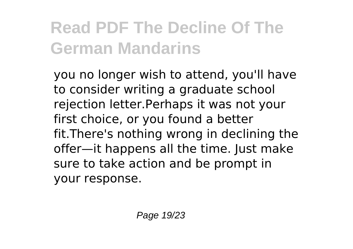you no longer wish to attend, you'll have to consider writing a graduate school rejection letter.Perhaps it was not your first choice, or you found a better fit.There's nothing wrong in declining the offer—it happens all the time. Just make sure to take action and be prompt in your response.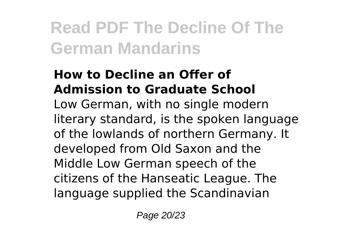### **How to Decline an Offer of Admission to Graduate School**

Low German, with no single modern literary standard, is the spoken language of the lowlands of northern Germany. It developed from Old Saxon and the Middle Low German speech of the citizens of the Hanseatic League. The language supplied the Scandinavian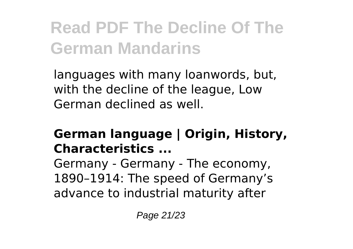languages with many loanwords, but, with the decline of the league, Low German declined as well.

### **German language | Origin, History, Characteristics ...**

Germany - Germany - The economy, 1890–1914: The speed of Germany's advance to industrial maturity after

Page 21/23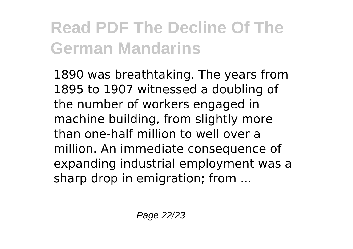1890 was breathtaking. The years from 1895 to 1907 witnessed a doubling of the number of workers engaged in machine building, from slightly more than one-half million to well over a million. An immediate consequence of expanding industrial employment was a sharp drop in emigration; from ...